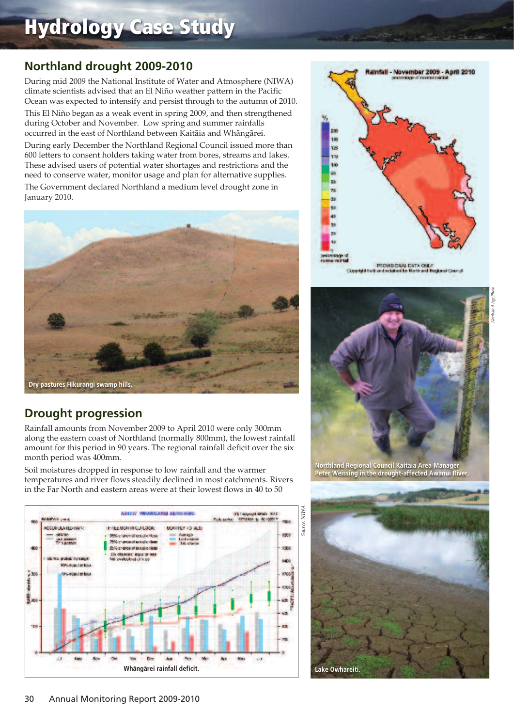### **Northland drought 2009-2010**

During mid 2009 the National Institute of Water and Atmosphere (NIWA) climate scientists advised that an El Niño weather pattern in the Pacific Ocean was expected to intensify and persist through to the autumn of 2010.

This El Niño began as a weak event in spring 2009, and then strengthened during October and November. Low spring and summer rainfalls occurred in the east of Northland between Kaitäia and Whängärei.

During early December the Northland Regional Council issued more than 600 letters to consent holders taking water from bores, streams and lakes. These advised users of potential water shortages and restrictions and the need to conserve water, monitor usage and plan for alternative supplies.

The Government declared Northland a medium level drought zone in January 2010.



### **Drought progression**

Rainfall amounts from November 2009 to April 2010 were only 300mm along the eastern coast of Northland (normally 800mm), the lowest rainfall amount for this period in 90 years. The regional rainfall deficit over the six month period was 400mm.

Soil moistures dropped in response to low rainfall and the warmer temperatures and river flows steadily declined in most catchments. Rivers in the Far North and eastern areas were at their lowest flows in 40 to 50





*Northland Age Photo*



**Northland Regional Council Kaitäia Area Manager Peter Weissing in the drought-affected Awanui River.**